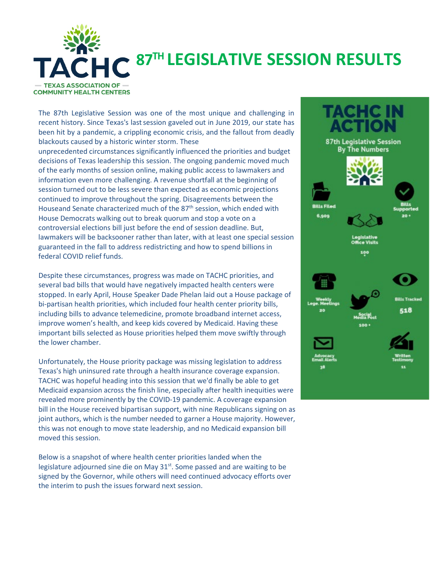

# **87TH LEGISLATIVE SESSION RESULTS**

The 87th Legislative Session was one of the most unique and challenging in recent history. Since Texas's last session gaveled out in June 2019, our state has been hit by a pandemic, a crippling economic crisis, and the fallout from deadly blackouts caused by a historic winter storm. These

unprecedented circumstances significantly influenced the priorities and budget decisions of Texas leadership this session. The ongoing pandemic moved much of the early months of session online, making public access to lawmakers and information even more challenging. A revenue shortfall at the beginning of session turned out to be less severe than expected as economic projections continued to improve throughout the spring. Disagreements between the Houseand Senate characterized much of the 87<sup>th</sup> session, which ended with House Democrats walking out to break quorum and stop a vote on a controversial elections bill just before the end of session deadline. But, lawmakers will be backsooner rather than later, with at least one special session guaranteed in the fall to address redistricting and how to spend billions in federal COVID relief funds.

Despite these circumstances, progress was made on TACHC priorities, and several bad bills that would have negatively impacted health centers were stopped. In early April, House Speaker Dade Phelan laid out a House package of bi-partisan health priorities, which included four health center priority bills, including bills to advance telemedicine, promote broadband internet access, improve women's health, and keep kids covered by Medicaid. Having these important bills selected as House priorities helped them move swiftly through the lower chamber.

Unfortunately, the House priority package was missing legislation to address Texas's high uninsured rate through a health insurance coverage expansion. TACHC was hopeful heading into this session that we'd finally be able to get Medicaid expansion across the finish line, especially after health inequities were revealed more prominently by the COVID-19 pandemic. A coverage expansion bill in the House received bipartisan support, with nine Republicans signing on as joint authors, which is the number needed to garner a House majority. However, this was not enough to move state leadership, and no Medicaid expansion bill moved this session.

Below is a snapshot of where health center priorities landed when the legislature adjourned sine die on May 31<sup>st</sup>. Some passed and are waiting to be signed by the Governor, while others will need continued advocacy efforts over the interim to push the issues forward next session.